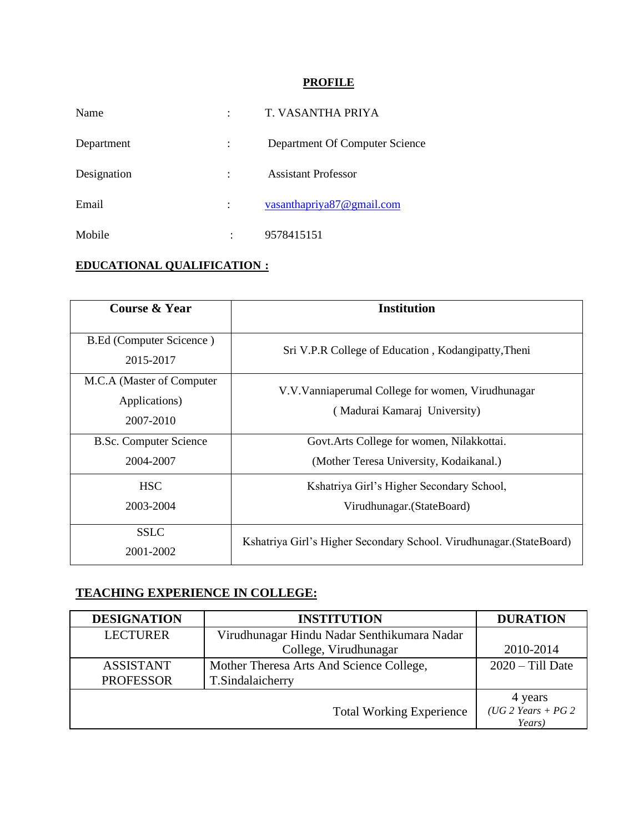## **PROFILE**

| Name        |   | T. VASANTHA PRIYA              |
|-------------|---|--------------------------------|
| Department  |   | Department Of Computer Science |
| Designation |   | <b>Assistant Professor</b>     |
| Email       |   | vasanthapriya87@gmail.com      |
| Mobile      | ٠ | 9578415151                     |

## **EDUCATIONAL QUALIFICATION :**

| <b>Course &amp; Year</b>                                | <b>Institution</b>                                                                 |  |
|---------------------------------------------------------|------------------------------------------------------------------------------------|--|
| <b>B.Ed (Computer Scicence)</b><br>2015-2017            | Sri V.P.R College of Education, Kodangipatty, Theni                                |  |
| M.C.A (Master of Computer<br>Applications)<br>2007-2010 | V.V. Vanniaperumal College for women, Virudhunagar<br>(Madurai Kamaraj University) |  |
| <b>B.Sc. Computer Science</b>                           | Govt. Arts College for women, Nilakkottai.                                         |  |
| 2004-2007                                               | (Mother Teresa University, Kodaikanal.)                                            |  |
| <b>HSC</b><br>2003-2004                                 | Kshatriya Girl's Higher Secondary School,<br>Virudhunagar. (StateBoard)            |  |
| <b>SSLC</b><br>2001-2002                                | Kshatriya Girl's Higher Secondary School. Virudhunagar. (StateBoard)               |  |

## **TEACHING EXPERIENCE IN COLLEGE:**

| <b>DESIGNATION</b>                   | <b>INSTITUTION</b>                                           | <b>DURATION</b>               |
|--------------------------------------|--------------------------------------------------------------|-------------------------------|
| <b>LECTURER</b>                      | Virudhunagar Hindu Nadar Senthikumara Nadar                  |                               |
|                                      | College, Virudhunagar                                        | 2010-2014                     |
| <b>ASSISTANT</b><br><b>PROFESSOR</b> | Mother Theresa Arts And Science College,<br>T.Sindalaicherry | $2020 - Till$ Date            |
|                                      |                                                              |                               |
|                                      |                                                              | 4 years                       |
|                                      | <b>Total Working Experience</b>                              | (UG 2 Years + PG 2)<br>Years) |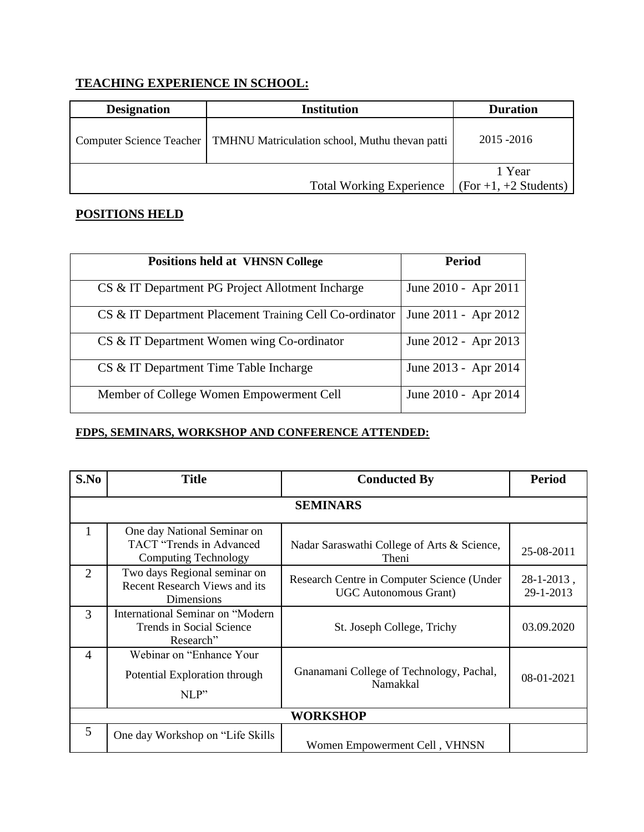# **TEACHING EXPERIENCE IN SCHOOL:**

| <b>Designation</b> | <b>Institution</b>                                                        | <b>Duration</b>              |
|--------------------|---------------------------------------------------------------------------|------------------------------|
|                    | Computer Science Teacher   TMHNU Matriculation school, Muthu thevan patti | $2015 - 2016$                |
|                    |                                                                           | 1 Year                       |
|                    | <b>Total Working Experience</b>                                           | $\int$ (For +1, +2 Students) |

## **POSITIONS HELD**

| <b>Positions held at VHNSN College</b>                  | <b>Period</b>        |
|---------------------------------------------------------|----------------------|
| CS & IT Department PG Project Allotment Incharge        | June 2010 - Apr 2011 |
| CS & IT Department Placement Training Cell Co-ordinator | June 2011 - Apr 2012 |
| CS & IT Department Women wing Co-ordinator              | June 2012 - Apr 2013 |
| CS & IT Department Time Table Incharge                  | June 2013 - Apr 2014 |
| Member of College Women Empowerment Cell                | June 2010 - Apr 2014 |

### **FDPS, SEMINARS, WORKSHOP AND CONFERENCE ATTENDED:**

| S.No | <b>Title</b>                                                                       | <b>Conducted By</b>                                                        | <b>Period</b>              |
|------|------------------------------------------------------------------------------------|----------------------------------------------------------------------------|----------------------------|
|      |                                                                                    |                                                                            |                            |
|      |                                                                                    | <b>SEMINARS</b>                                                            |                            |
| 1    | One day National Seminar on                                                        |                                                                            |                            |
|      | TACT "Trends in Advanced<br><b>Computing Technology</b>                            | Nadar Saraswathi College of Arts & Science,<br>Theni                       | 25-08-2011                 |
| 2    | Two days Regional seminar on<br><b>Recent Research Views and its</b><br>Dimensions | Research Centre in Computer Science (Under<br><b>UGC</b> Autonomous Grant) | $28-1-2013$ ,<br>29-1-2013 |
| 3    | International Seminar on "Modern<br>Trends in Social Science<br>Research"          | St. Joseph College, Trichy                                                 | 03.09.2020                 |
| 4    | Webinar on "Enhance Your"<br>Potential Exploration through<br>NLP"                 | Gnanamani College of Technology, Pachal,<br>Namakkal                       | 08-01-2021                 |
|      | <b>WORKSHOP</b>                                                                    |                                                                            |                            |
| 5    | One day Workshop on "Life Skills"                                                  | Women Empowerment Cell, VHNSN                                              |                            |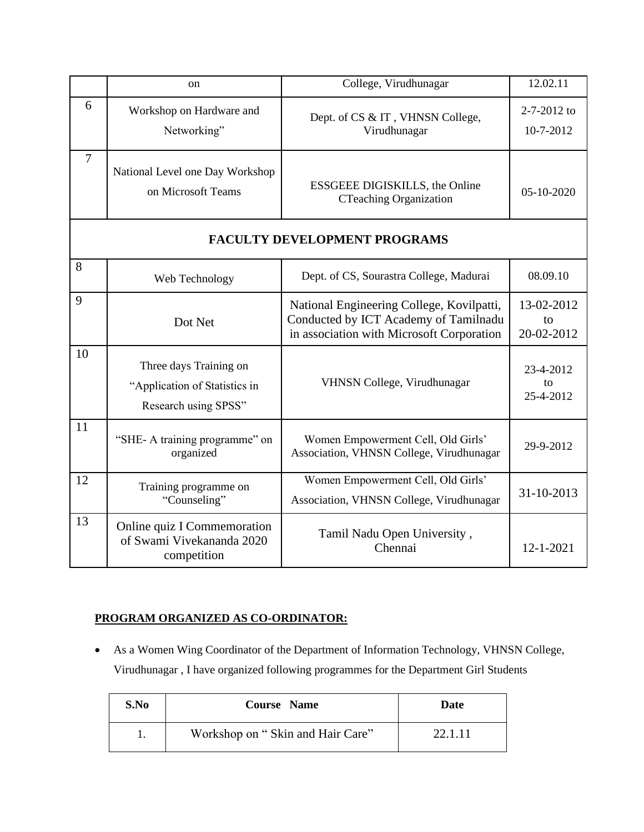|                | <sub>on</sub>                                                                   | College, Virudhunagar                                                                                                           | 12.02.11                       |
|----------------|---------------------------------------------------------------------------------|---------------------------------------------------------------------------------------------------------------------------------|--------------------------------|
| 6              | Workshop on Hardware and<br>Networking"                                         | Dept. of CS & IT, VHNSN College,<br>Virudhunagar                                                                                | 2-7-2012 to<br>10-7-2012       |
| $\overline{7}$ | National Level one Day Workshop<br>on Microsoft Teams                           | ESSGEEE DIGISKILLS, the Online<br><b>CTeaching Organization</b>                                                                 | 05-10-2020                     |
|                |                                                                                 | <b>FACULTY DEVELOPMENT PROGRAMS</b>                                                                                             |                                |
| 8              | Web Technology                                                                  | Dept. of CS, Sourastra College, Madurai                                                                                         | 08.09.10                       |
| 9              | Dot Net                                                                         | National Engineering College, Kovilpatti,<br>Conducted by ICT Academy of Tamilnadu<br>in association with Microsoft Corporation | 13-02-2012<br>to<br>20-02-2012 |
| 10             | Three days Training on<br>"Application of Statistics in<br>Research using SPSS" | VHNSN College, Virudhunagar                                                                                                     | 23-4-2012<br>to<br>25-4-2012   |
| 11             | "SHE- A training programme" on<br>organized                                     | Women Empowerment Cell, Old Girls'<br>Association, VHNSN College, Virudhunagar                                                  | 29-9-2012                      |
| 12             | Training programme on<br>"Counseling"                                           | Women Empowerment Cell, Old Girls'<br>Association, VHNSN College, Virudhunagar                                                  | 31-10-2013                     |
| 13             | Online quiz I Commemoration<br>of Swami Vivekananda 2020<br>competition         | Tamil Nadu Open University,<br>Chennai                                                                                          | 12-1-2021                      |

### **PROGRAM ORGANIZED AS CO-ORDINATOR:**

• As a Women Wing Coordinator of the Department of Information Technology, VHNSN College, Virudhunagar , I have organized following programmes for the Department Girl Students

| S.No | <b>Course</b> Name               | Date    |
|------|----------------------------------|---------|
|      | Workshop on "Skin and Hair Care" | 22.1.11 |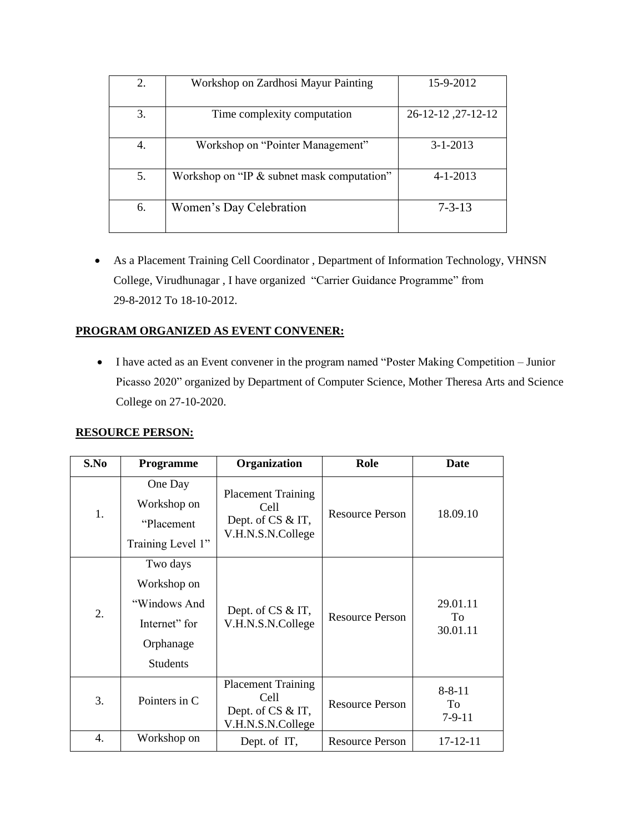| 2. | Workshop on Zardhosi Mayur Painting        | 15-9-2012          |
|----|--------------------------------------------|--------------------|
| 3. | Time complexity computation                | 26-12-12, 27-12-12 |
| 4. | Workshop on "Pointer Management"           | $3 - 1 - 2013$     |
| 5. | Workshop on "IP & subnet mask computation" | $4 - 1 - 2013$     |
| 6. | Women's Day Celebration                    | $7 - 3 - 13$       |

• As a Placement Training Cell Coordinator , Department of Information Technology, VHNSN College, Virudhunagar , I have organized "Carrier Guidance Programme" from 29-8-2012 To 18-10-2012.

#### **PROGRAM ORGANIZED AS EVENT CONVENER:**

• I have acted as an Event convener in the program named "Poster Making Competition – Junior Picasso 2020" organized by Department of Computer Science, Mother Theresa Arts and Science College on 27-10-2020.

#### **RESOURCE PERSON:**

| S.No | Programme                                                                                | Organization                                                                | Role                   | Date                           |
|------|------------------------------------------------------------------------------------------|-----------------------------------------------------------------------------|------------------------|--------------------------------|
| 1.   | One Day<br>Workshop on<br>"Placement"<br>Training Level 1"                               | <b>Placement Training</b><br>Cell<br>Dept. of CS & IT,<br>V.H.N.S.N.College | <b>Resource Person</b> | 18.09.10                       |
| 2.   | Two days<br>Workshop on<br>"Windows And<br>Internet" for<br>Orphanage<br><b>Students</b> | Dept. of CS & IT,<br>V.H.N.S.N.College                                      | Resource Person        | 29.01.11<br>To<br>30.01.11     |
| 3.   | Pointers in C                                                                            | <b>Placement Training</b><br>Cell<br>Dept. of CS & IT,<br>V.H.N.S.N.College | <b>Resource Person</b> | $8 - 8 - 11$<br>To<br>$7-9-11$ |
| 4.   | Workshop on                                                                              | Dept. of IT,                                                                | <b>Resource Person</b> | $17 - 12 - 11$                 |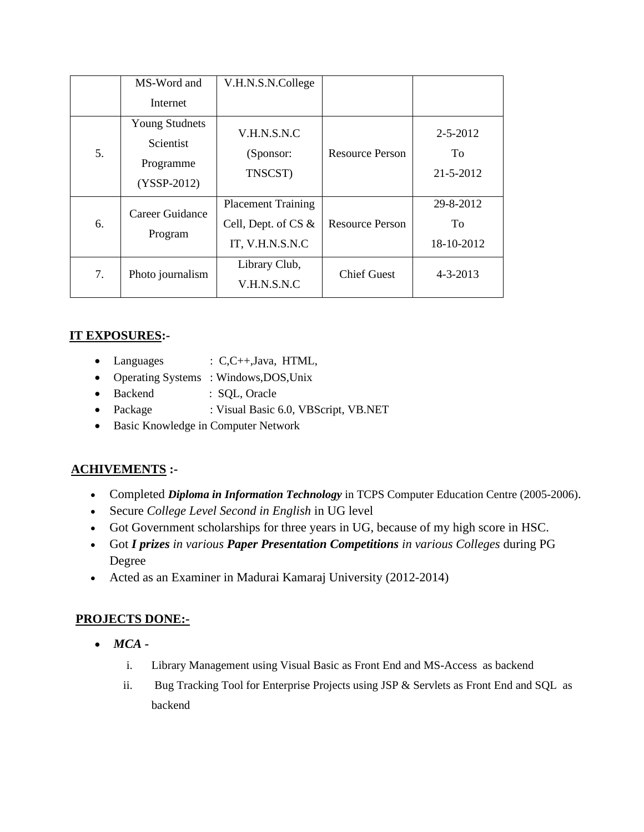|    | MS-Word and<br>Internet                                          | V.H.N.S.N.College                                                   |                        |                                   |
|----|------------------------------------------------------------------|---------------------------------------------------------------------|------------------------|-----------------------------------|
| 5. | <b>Young Studnets</b><br>Scientist<br>Programme<br>$(YSSP-2012)$ | V.H.N.S.N.C<br>(Sponsor:<br>TNSCST)                                 | <b>Resource Person</b> | $2 - 5 - 2012$<br>To<br>21-5-2012 |
| 6. | Career Guidance<br>Program                                       | <b>Placement Training</b><br>Cell, Dept. of CS &<br>IT, V.H.N.S.N.C | <b>Resource Person</b> | 29-8-2012<br>To<br>18-10-2012     |
| 7. | Photo journalism                                                 | Library Club,<br>V.H.N.S.N.C                                        | <b>Chief Guest</b>     | $4 - 3 - 2013$                    |

## **IT EXPOSURES:-**

- Languages : C,C++,Java, HTML,
- Operating Systems : Windows,DOS,Unix
- Backend : SQL, Oracle
- Package : Visual Basic 6.0, VBScript, VB.NET
- Basic Knowledge in Computer Network

## **ACHIVEMENTS :-**

- Completed *Diploma in Information Technology* in TCPS Computer Education Centre (2005-2006).
- Secure *College Level Second in English* in UG level
- Got Government scholarships for three years in UG, because of my high score in HSC.
- Got *I prizes in various Paper Presentation Competitions in various Colleges* during PG Degree
- Acted as an Examiner in Madurai Kamaraj University (2012-2014)

#### **PROJECTS DONE:-**

- *MCA* 
	- i. Library Management using Visual Basic as Front End and MS-Access as backend
	- ii. Bug Tracking Tool for Enterprise Projects using JSP & Servlets as Front End and SQL as backend